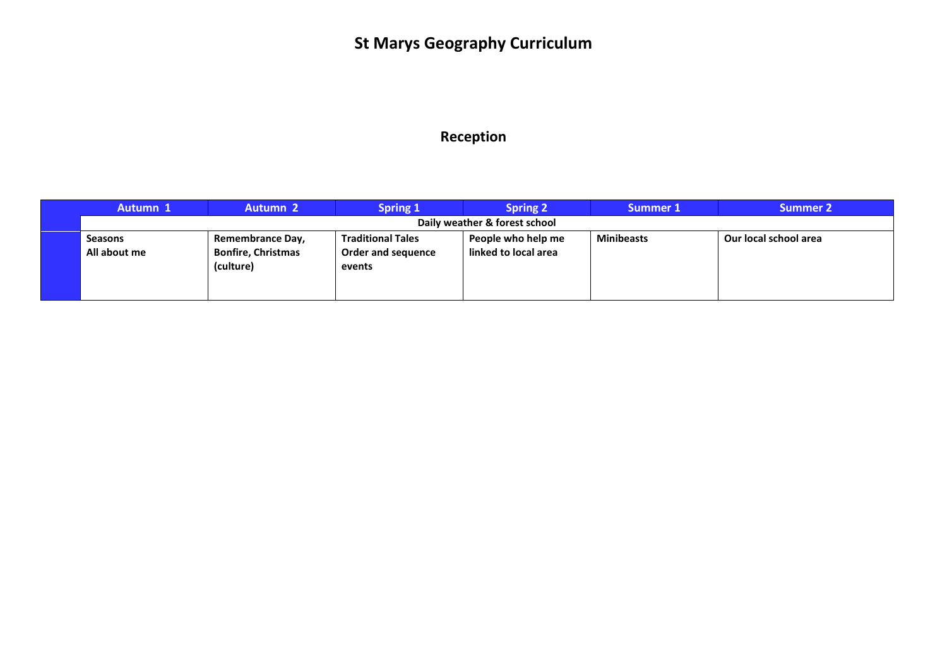# **St Marys Geography Curriculum**

#### **Reception**

| Autumn 1                       | <b>Autumn 2</b>                                            | <b>Spring 1</b>                                          | <b>Spring 2</b>                            | Summer 1          | <b>Summer 2</b>       |
|--------------------------------|------------------------------------------------------------|----------------------------------------------------------|--------------------------------------------|-------------------|-----------------------|
| Daily weather & forest school  |                                                            |                                                          |                                            |                   |                       |
| <b>Seasons</b><br>All about me | Remembrance Day,<br><b>Bonfire, Christmas</b><br>(culture) | <b>Traditional Tales</b><br>Order and sequence<br>events | People who help me<br>linked to local area | <b>Minibeasts</b> | Our local school area |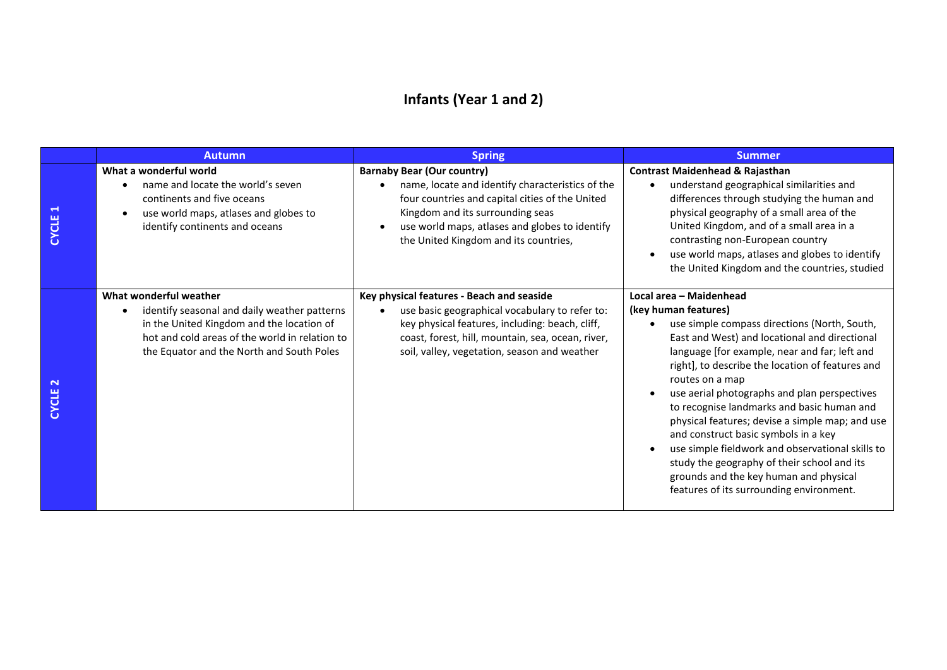### **Infants (Year 1 and 2)**

|                                       | <b>Autumn</b>                                                                                                                                                                                                      | <b>Spring</b>                                                                                                                                                                                                                                                           | Summer.                                                                                                                                                                                                                                                                                                                                                                                                                                                                                                                                                                                                                                                    |
|---------------------------------------|--------------------------------------------------------------------------------------------------------------------------------------------------------------------------------------------------------------------|-------------------------------------------------------------------------------------------------------------------------------------------------------------------------------------------------------------------------------------------------------------------------|------------------------------------------------------------------------------------------------------------------------------------------------------------------------------------------------------------------------------------------------------------------------------------------------------------------------------------------------------------------------------------------------------------------------------------------------------------------------------------------------------------------------------------------------------------------------------------------------------------------------------------------------------------|
| $\blacktriangleright$<br><b>CYCLE</b> | What a wonderful world<br>name and locate the world's seven<br>continents and five oceans<br>use world maps, atlases and globes to<br>identify continents and oceans                                               | <b>Barnaby Bear (Our country)</b><br>name, locate and identify characteristics of the<br>four countries and capital cities of the United<br>Kingdom and its surrounding seas<br>use world maps, atlases and globes to identify<br>the United Kingdom and its countries, | <b>Contrast Maidenhead &amp; Rajasthan</b><br>understand geographical similarities and<br>$\bullet$<br>differences through studying the human and<br>physical geography of a small area of the<br>United Kingdom, and of a small area in a<br>contrasting non-European country<br>use world maps, atlases and globes to identify<br>the United Kingdom and the countries, studied                                                                                                                                                                                                                                                                          |
| $\mathbf{\mathbf{N}}$<br><b>CYCLE</b> | What wonderful weather<br>identify seasonal and daily weather patterns<br>in the United Kingdom and the location of<br>hot and cold areas of the world in relation to<br>the Equator and the North and South Poles | Key physical features - Beach and seaside<br>use basic geographical vocabulary to refer to:<br>key physical features, including: beach, cliff,<br>coast, forest, hill, mountain, sea, ocean, river,<br>soil, valley, vegetation, season and weather                     | Local area - Maidenhead<br>(key human features)<br>use simple compass directions (North, South,<br>East and West) and locational and directional<br>language [for example, near and far; left and<br>right], to describe the location of features and<br>routes on a map<br>use aerial photographs and plan perspectives<br>to recognise landmarks and basic human and<br>physical features; devise a simple map; and use<br>and construct basic symbols in a key<br>use simple fieldwork and observational skills to<br>study the geography of their school and its<br>grounds and the key human and physical<br>features of its surrounding environment. |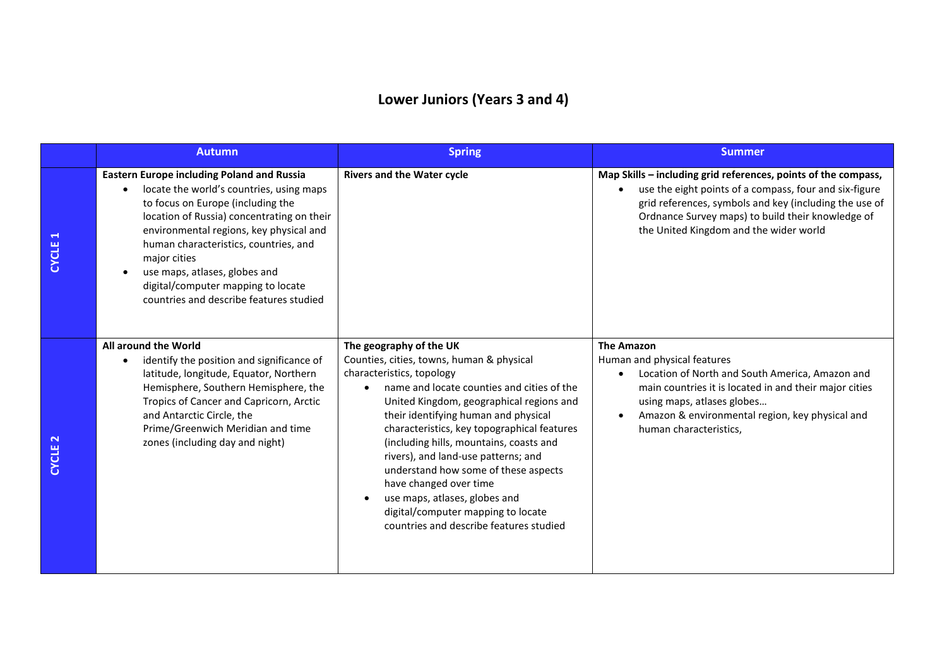### **Lower Juniors (Years 3 and 4)**

|                                       | <b>Autumn</b>                                                                                                                                                                                                                                                                                                                                                                                          | <b>Spring</b>                                                                                                                                                                                                                                                                                                                                                                                                                                                                                                                                                         | <b>Summer</b>                                                                                                                                                                                                                                                                     |  |
|---------------------------------------|--------------------------------------------------------------------------------------------------------------------------------------------------------------------------------------------------------------------------------------------------------------------------------------------------------------------------------------------------------------------------------------------------------|-----------------------------------------------------------------------------------------------------------------------------------------------------------------------------------------------------------------------------------------------------------------------------------------------------------------------------------------------------------------------------------------------------------------------------------------------------------------------------------------------------------------------------------------------------------------------|-----------------------------------------------------------------------------------------------------------------------------------------------------------------------------------------------------------------------------------------------------------------------------------|--|
| $\blacktriangleright$<br><b>CYCLE</b> | <b>Eastern Europe including Poland and Russia</b><br>locate the world's countries, using maps<br>to focus on Europe (including the<br>location of Russia) concentrating on their<br>environmental regions, key physical and<br>human characteristics, countries, and<br>major cities<br>use maps, atlases, globes and<br>digital/computer mapping to locate<br>countries and describe features studied | <b>Rivers and the Water cycle</b>                                                                                                                                                                                                                                                                                                                                                                                                                                                                                                                                     | Map Skills - including grid references, points of the compass,<br>use the eight points of a compass, four and six-figure<br>grid references, symbols and key (including the use of<br>Ordnance Survey maps) to build their knowledge of<br>the United Kingdom and the wider world |  |
| $\mathbf{\tilde{z}}$<br><b>CYCLE</b>  | All around the World<br>identify the position and significance of<br>latitude, longitude, Equator, Northern<br>Hemisphere, Southern Hemisphere, the<br>Tropics of Cancer and Capricorn, Arctic<br>and Antarctic Circle, the<br>Prime/Greenwich Meridian and time<br>zones (including day and night)                                                                                                    | The geography of the UK<br>Counties, cities, towns, human & physical<br>characteristics, topology<br>name and locate counties and cities of the<br>United Kingdom, geographical regions and<br>their identifying human and physical<br>characteristics, key topographical features<br>(including hills, mountains, coasts and<br>rivers), and land-use patterns; and<br>understand how some of these aspects<br>have changed over time<br>use maps, atlases, globes and<br>$\bullet$<br>digital/computer mapping to locate<br>countries and describe features studied | <b>The Amazon</b><br>Human and physical features<br>Location of North and South America, Amazon and<br>main countries it is located in and their major cities<br>using maps, atlases globes<br>Amazon & environmental region, key physical and<br>human characteristics,          |  |